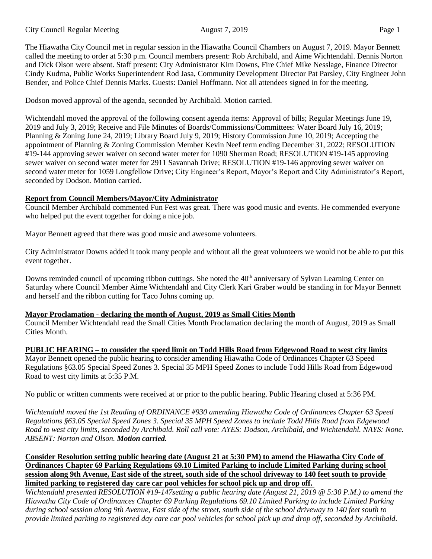The Hiawatha City Council met in regular session in the Hiawatha Council Chambers on August 7, 2019. Mayor Bennett called the meeting to order at 5:30 p.m. Council members present: Rob Archibald, and Aime Wichtendahl. Dennis Norton and Dick Olson were absent. Staff present: City Administrator Kim Downs, Fire Chief Mike Nesslage, Finance Director Cindy Kudrna, Public Works Superintendent Rod Jasa, Community Development Director Pat Parsley, City Engineer John Bender, and Police Chief Dennis Marks. Guests: Daniel Hoffmann. Not all attendees signed in for the meeting.

Dodson moved approval of the agenda, seconded by Archibald. Motion carried.

Wichtendahl moved the approval of the following consent agenda items: Approval of bills; Regular Meetings June 19, 2019 and July 3, 2019; Receive and File Minutes of Boards/Commissions/Committees: Water Board July 16, 2019; Planning & Zoning June 24, 2019; Library Board July 9, 2019; History Commission June 10, 2019; Accepting the appointment of Planning & Zoning Commission Member Kevin Neef term ending December 31, 2022; RESOLUTION #19-144 approving sewer waiver on second water meter for 1090 Sherman Road; RESOLUTION #19-145 approving sewer waiver on second water meter for 2911 Savannah Drive; RESOLUTION #19-146 approving sewer waiver on second water meter for 1059 Longfellow Drive; City Engineer's Report, Mayor's Report and City Administrator's Report, seconded by Dodson. Motion carried.

# **Report from Council Members/Mayor/City Administrator**

Council Member Archibald commented Fun Fest was great. There was good music and events. He commended everyone who helped put the event together for doing a nice job.

Mayor Bennett agreed that there was good music and awesome volunteers.

City Administrator Downs added it took many people and without all the great volunteers we would not be able to put this event together.

Downs reminded council of upcoming ribbon cuttings. She noted the 40<sup>th</sup> anniversary of Sylvan Learning Center on Saturday where Council Member Aime Wichtendahl and City Clerk Kari Graber would be standing in for Mayor Bennett and herself and the ribbon cutting for Taco Johns coming up.

# **Mayor Proclamation - declaring the month of August, 2019 as Small Cities Month**

Council Member Wichtendahl read the Small Cities Month Proclamation declaring the month of August, 2019 as Small Cities Month.

# **PUBLIC HEARING – to consider the speed limit on Todd Hills Road from Edgewood Road to west city limits**

Mayor Bennett opened the public hearing to consider amending Hiawatha Code of Ordinances Chapter 63 Speed Regulations §63.05 Special Speed Zones 3. Special 35 MPH Speed Zones to include Todd Hills Road from Edgewood Road to west city limits at 5:35 P.M.

No public or written comments were received at or prior to the public hearing. Public Hearing closed at 5:36 PM.

*Wichtendahl moved the 1st Reading of ORDINANCE #930 amending Hiawatha Code of Ordinances Chapter 63 Speed Regulations §63.05 Special Speed Zones 3. Special 35 MPH Speed Zones to include Todd Hills Road from Edgewood Road to west city limits, seconded by Archibald. Roll call vote: AYES: Dodson, Archibald, and Wichtendahl. NAYS: None. ABSENT: Norton and Olson. Motion carried.*

**Consider Resolution setting public hearing date (August 21 at 5:30 PM) to amend the Hiawatha City Code of Ordinances Chapter 69 Parking Regulations 69.10 Limited Parking to include Limited Parking during school session along 9th Avenue, East side of the street, south side of the school driveway to 140 feet south to provide limited parking to registered day care car pool vehicles for school pick up and drop off.** 

*Wichtendahl presented RESOLUTION #19-147setting a public hearing date (August 21, 2019 @ 5:30 P.M.) to amend the Hiawatha City Code of Ordinances Chapter 69 Parking Regulations 69.10 Limited Parking to include Limited Parking during school session along 9th Avenue, East side of the street, south side of the school driveway to 140 feet south to provide limited parking to registered day care car pool vehicles for school pick up and drop off, seconded by Archibald.*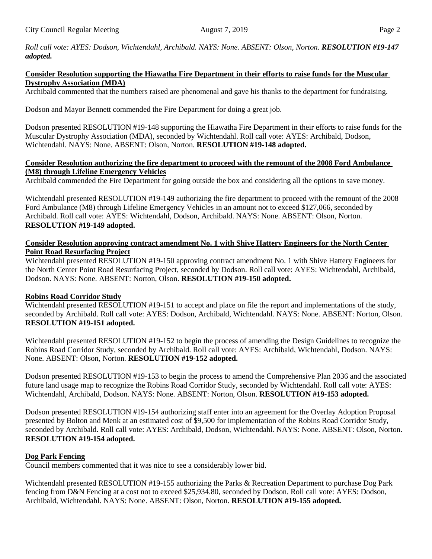*Roll call vote: AYES: Dodson, Wichtendahl, Archibald. NAYS: None. ABSENT: Olson, Norton. RESOLUTION #19-147 adopted.*

### **Consider Resolution supporting the Hiawatha Fire Department in their efforts to raise funds for the Muscular Dystrophy Association (MDA)**

Archibald commented that the numbers raised are phenomenal and gave his thanks to the department for fundraising.

Dodson and Mayor Bennett commended the Fire Department for doing a great job.

Dodson presented RESOLUTION #19-148 supporting the Hiawatha Fire Department in their efforts to raise funds for the Muscular Dystrophy Association (MDA), seconded by Wichtendahl. Roll call vote: AYES: Archibald, Dodson, Wichtendahl. NAYS: None. ABSENT: Olson, Norton. **RESOLUTION #19-148 adopted.**

#### **Consider Resolution authorizing the fire department to proceed with the remount of the 2008 Ford Ambulance (M8) through Lifeline Emergency Vehicles**

Archibald commended the Fire Department for going outside the box and considering all the options to save money.

Wichtendahl presented RESOLUTION #19-149 authorizing the fire department to proceed with the remount of the 2008 Ford Ambulance (M8) through Lifeline Emergency Vehicles in an amount not to exceed \$127,066, seconded by Archibald. Roll call vote: AYES: Wichtendahl, Dodson, Archibald. NAYS: None. ABSENT: Olson, Norton. **RESOLUTION #19-149 adopted.** 

## **Consider Resolution approving contract amendment No. 1 with Shive Hattery Engineers for the North Center Point Road Resurfacing Project**

Wichtendahl presented RESOLUTION #19-150 approving contract amendment No. 1 with Shive Hattery Engineers for the North Center Point Road Resurfacing Project, seconded by Dodson. Roll call vote: AYES: Wichtendahl, Archibald, Dodson. NAYS: None. ABSENT: Norton, Olson. **RESOLUTION #19-150 adopted.**

## **Robins Road Corridor Study**

Wichtendahl presented RESOLUTION #19-151 to accept and place on file the report and implementations of the study, seconded by Archibald. Roll call vote: AYES: Dodson, Archibald, Wichtendahl. NAYS: None. ABSENT: Norton, Olson. **RESOLUTION #19-151 adopted.**

Wichtendahl presented RESOLUTION #19-152 to begin the process of amending the Design Guidelines to recognize the Robins Road Corridor Study, seconded by Archibald. Roll call vote: AYES: Archibald, Wichtendahl, Dodson. NAYS: None. ABSENT: Olson, Norton. **RESOLUTION #19-152 adopted.**

Dodson presented RESOLUTION #19-153 to begin the process to amend the Comprehensive Plan 2036 and the associated future land usage map to recognize the Robins Road Corridor Study, seconded by Wichtendahl. Roll call vote: AYES: Wichtendahl, Archibald, Dodson. NAYS: None. ABSENT: Norton, Olson. **RESOLUTION #19-153 adopted.**

Dodson presented RESOLUTION #19-154 authorizing staff enter into an agreement for the Overlay Adoption Proposal presented by Bolton and Menk at an estimated cost of \$9,500 for implementation of the Robins Road Corridor Study, seconded by Archibald. Roll call vote: AYES: Archibald, Dodson, Wichtendahl. NAYS: None. ABSENT: Olson, Norton. **RESOLUTION #19-154 adopted.**

## **Dog Park Fencing**

Council members commented that it was nice to see a considerably lower bid.

Wichtendahl presented RESOLUTION #19-155 authorizing the Parks & Recreation Department to purchase Dog Park fencing from D&N Fencing at a cost not to exceed \$25,934.80, seconded by Dodson. Roll call vote: AYES: Dodson, Archibald, Wichtendahl. NAYS: None. ABSENT: Olson, Norton. **RESOLUTION #19-155 adopted.**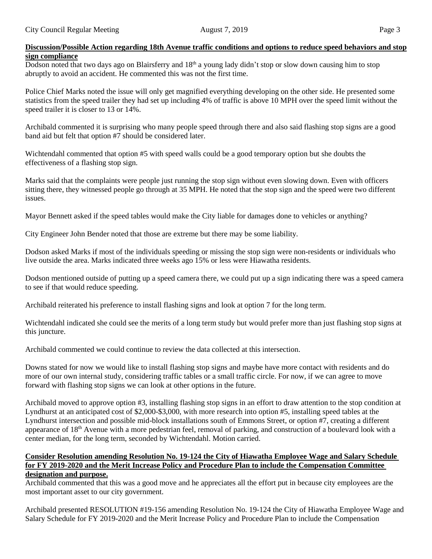Dodson noted that two days ago on Blairsferry and 18<sup>th</sup> a young lady didn't stop or slow down causing him to stop abruptly to avoid an accident. He commented this was not the first time.

Police Chief Marks noted the issue will only get magnified everything developing on the other side. He presented some statistics from the speed trailer they had set up including 4% of traffic is above 10 MPH over the speed limit without the speed trailer it is closer to 13 or 14%.

Archibald commented it is surprising who many people speed through there and also said flashing stop signs are a good band aid but felt that option #7 should be considered later.

Wichtendahl commented that option #5 with speed walls could be a good temporary option but she doubts the effectiveness of a flashing stop sign.

Marks said that the complaints were people just running the stop sign without even slowing down. Even with officers sitting there, they witnessed people go through at 35 MPH. He noted that the stop sign and the speed were two different issues.

Mayor Bennett asked if the speed tables would make the City liable for damages done to vehicles or anything?

City Engineer John Bender noted that those are extreme but there may be some liability.

Dodson asked Marks if most of the individuals speeding or missing the stop sign were non-residents or individuals who live outside the area. Marks indicated three weeks ago 15% or less were Hiawatha residents.

Dodson mentioned outside of putting up a speed camera there, we could put up a sign indicating there was a speed camera to see if that would reduce speeding.

Archibald reiterated his preference to install flashing signs and look at option 7 for the long term.

Wichtendahl indicated she could see the merits of a long term study but would prefer more than just flashing stop signs at this juncture.

Archibald commented we could continue to review the data collected at this intersection.

Downs stated for now we would like to install flashing stop signs and maybe have more contact with residents and do more of our own internal study, considering traffic tables or a small traffic circle. For now, if we can agree to move forward with flashing stop signs we can look at other options in the future.

Archibald moved to approve option #3, installing flashing stop signs in an effort to draw attention to the stop condition at Lyndhurst at an anticipated cost of \$2,000-\$3,000, with more research into option #5, installing speed tables at the Lyndhurst intersection and possible mid-block installations south of Emmons Street, or option #7, creating a different appearance of 18<sup>th</sup> Avenue with a more pedestrian feel, removal of parking, and construction of a boulevard look with a center median, for the long term, seconded by Wichtendahl. Motion carried.

#### **Consider Resolution amending Resolution No. 19-124 the City of Hiawatha Employee Wage and Salary Schedule for FY 2019-2020 and the Merit Increase Policy and Procedure Plan to include the Compensation Committee designation and purpose.**

Archibald commented that this was a good move and he appreciates all the effort put in because city employees are the most important asset to our city government.

Archibald presented RESOLUTION #19-156 amending Resolution No. 19-124 the City of Hiawatha Employee Wage and Salary Schedule for FY 2019-2020 and the Merit Increase Policy and Procedure Plan to include the Compensation